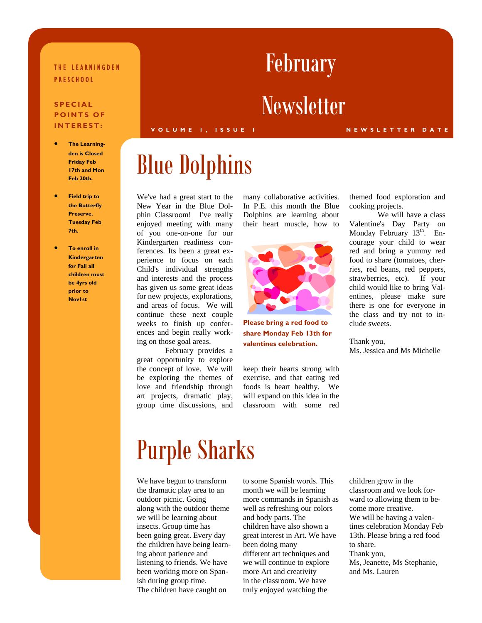#### THE LEARNINGDEN PRESCHOOL

#### **SPECIAL POINTS OF INTEREST:**

- **The Learningden is Closed Friday Feb 17th and Mon Feb 20th.**
- **Field trip to the Butterfly Preserve. Tuesday Feb 7th.**
- **To enroll in Kindergarten for Fall all children must be 4yrs old prior to Nov1st**

#### **VOLUME 1, ISSUE 1 NEWSLETTER DATE**

## Blue Dolphins

We've had a great start to the New Year in the Blue Dolphin Classroom! I've really enjoyed meeting with many of you one-on-one for our Kindergarten readiness conferences. Its been a great experience to focus on each Child's individual strengths and interests and the process has given us some great ideas for new projects, explorations, and areas of focus. We will continue these next couple weeks to finish up conferences and begin really working on those goal areas.

 February provides a great opportunity to explore the concept of love. We will be exploring the themes of love and friendship through art projects, dramatic play, group time discussions, and many collaborative activities. In P.E. this month the Blue Dolphins are learning about their heart muscle, how to



**Please bring a red food to share Monday Feb 13th for valentines celebration.** 

keep their hearts strong with exercise, and that eating red foods is heart healthy. We will expand on this idea in the classroom with some red themed food exploration and cooking projects.

 We will have a class Valentine's Day Party on Monday February  $13<sup>th</sup>$ . Encourage your child to wear red and bring a yummy red food to share (tomatoes, cherries, red beans, red peppers, strawberries, etc). If your child would like to bring Valentines, please make sure there is one for everyone in the class and try not to include sweets.

Thank you, Ms. Jessica and Ms Michelle

### Purple Sharks

We have begun to transform the dramatic play area to an outdoor picnic. Going along with the outdoor theme we will be learning about insects. Group time has been going great. Every day the children have being learning about patience and listening to friends. We have been working more on Spanish during group time. The children have caught on

to some Spanish words. This month we will be learning more commands in Spanish as well as refreshing our colors and body parts. The children have also shown a great interest in Art. We have been doing many different art techniques and we will continue to explore more Art and creativity in the classroom. We have truly enjoyed watching the

children grow in the classroom and we look forward to allowing them to become more creative. We will be having a valentines celebration Monday Feb 13th. Please bring a red food to share. Thank you,

Ms, Jeanette, Ms Stephanie, and Ms. Lauren

# February

### **Newsletter**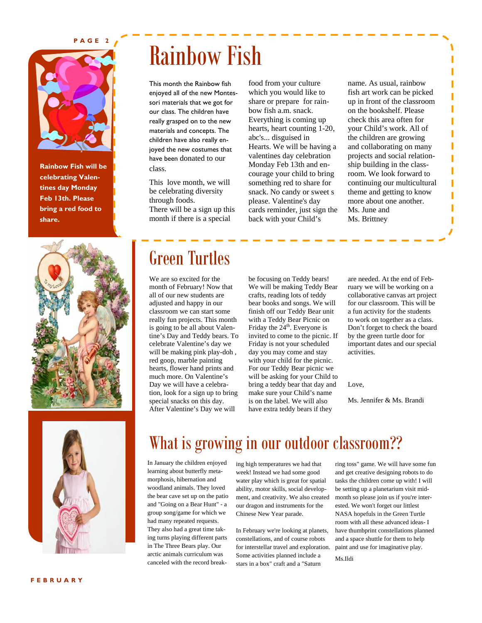#### **PAGE 2**



**Rainbow Fish will be celebrating Valentines day Monday Feb 13th. Please bring a red food to share.** 



## Rainbow Fish

This month the Rainbow fish enjoyed all of the new Montessori materials that we got for our class. The children have really grasped on to the new materials and concepts. The children have also really enjoyed the new costumes that have been donated to our class.

This love month, we will be celebrating diversity through foods. There will be a sign up this month if there is a special

food from your culture which you would like to share or prepare for rainbow fish a.m. snack. Everything is coming up hearts, heart counting 1-20, abc's... disguised in Hearts. We will be having a valentines day celebration Monday Feb 13th and encourage your child to bring something red to share for snack. No candy or sweet s please. Valentine's day cards reminder, just sign the back with your Child's

name. As usual, rainbow fish art work can be picked up in front of the classroom on the bookshelf. Please check this area often for your Child's work. All of the children are growing and collaborating on many projects and social relationship building in the classroom. We look forward to continuing our multicultural theme and getting to know more about one another. Ms. June and Ms. Brittney

### Green Turtles

We are so excited for the month of February! Now that all of our new students are adjusted and happy in our classroom we can start some really fun projects. This month is going to be all about Valentine's Day and Teddy bears. To celebrate Valentine's day we will be making pink play-doh , red goop, marble painting hearts, flower hand prints and much more. On Valentine's Day we will have a celebration, look for a sign up to bring special snacks on this day. After Valentine's Day we will

be focusing on Teddy bears! We will be making Teddy Bear crafts, reading lots of teddy bear books and songs. We will finish off our Teddy Bear unit with a Teddy Bear Picnic on Friday the 24<sup>th</sup>. Everyone is invited to come to the picnic. If Friday is not your scheduled day you may come and stay with your child for the picnic. For our Teddy Bear picnic we will be asking for your Child to bring a teddy bear that day and make sure your Child's name is on the label. We will also have extra teddy bears if they

are needed. At the end of February we will be working on a collaborative canvas art project for our classroom. This will be a fun activity for the students to work on together as a class. Don't forget to check the board by the green turtle door for important dates and our special activities.

Love,

Ms. Jennifer & Ms. Brandi



What is growing in our outdoor classroom??

In January the children enjoyed learning about butterfly metamorphosis, hibernation and woodland animals. They loved the bear cave set up on the patio and "Going on a Bear Hunt" - a group song/game for which we had many repeated requests. They also had a great time taking turns playing different parts in The Three Bears play. Our arctic animals curriculum was canceled with the record breaking high temperatures we had that week! Instead we had some good water play which is great for spatial ability, motor skills, social development, and creativity. We also created our dragon and instruments for the Chinese New Year parade.

In February we're looking at planets, constellations, and of course robots for interstellar travel and exploration. Some activities planned include a stars in a box" craft and a "Saturn

ring toss" game. We will have some fun and get creative designing robots to do tasks the children come up with! I will be setting up a planetarium visit midmonth so please join us if you're interested. We won't forget our littlest NASA hopefuls in the Green Turtle room with all these advanced ideas- I have thumbprint constellations planned and a space shuttle for them to help paint and use for imaginative play.

Ms.Ildi